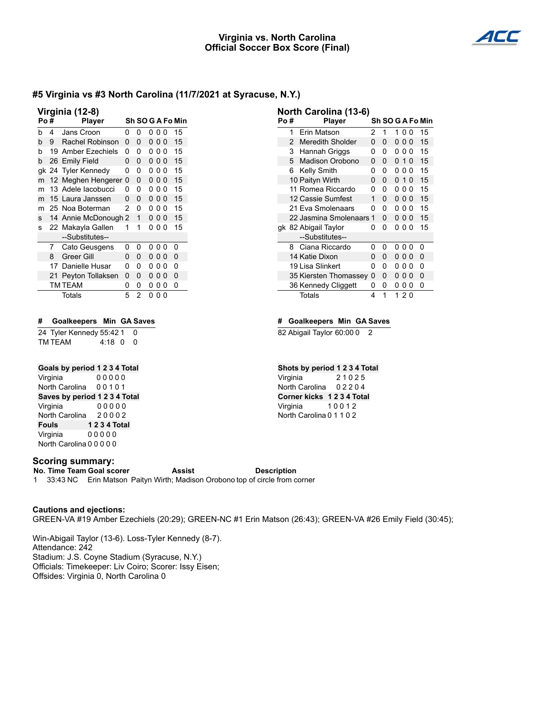### **Virginia vs. North Carolina Official Soccer Box Score (Final)**



## **#5 Virginia vs #3 North Carolina (11/7/2021 at Syracuse, N.Y.)**

| Virginia (12-8) |    |                    |   |   |   |                |   |                  |
|-----------------|----|--------------------|---|---|---|----------------|---|------------------|
| Po#             |    | <b>Player</b>      |   |   |   |                |   | Sh SO G A Fo Min |
| b               | 4  | Jans Croon         | 0 | 0 | 0 | 00             |   | 15               |
| h               | 9  | Rachel Robinson    | 0 | 0 | 0 | 00             |   | 15               |
| h               |    | 19 Amber Ezechiels | 0 | ŋ | 0 | 0              | 0 | 15               |
| b               | 26 | <b>Emily Field</b> | 0 | 0 | 0 | 00             |   | 15               |
| аk              |    | 24 Tyler Kennedy   | 0 | 0 | ŋ | 0              | 0 | 15               |
| m               | 12 | Meghen Hengerer    | 0 | 0 | 0 | 00             |   | 15               |
| m               |    | 13 Adele lacobucci | 0 | 0 | 0 | 00             |   | 15               |
| m               |    | 15 Laura Janssen   | 0 | 0 | 0 | 0 <sub>0</sub> |   | 15               |
| m               | 25 | Noa Boterman       | 2 | 0 | 0 | 0              | 0 | 15               |
| s               | 14 | Annie McDonough 2  |   | 1 | 0 | 0              | 0 | 15               |
| s               |    | 22 Makayla Gallen  | 1 | 1 | n | U              | ŋ | 15               |
|                 |    | --Substitutes--    |   |   |   |                |   |                  |
|                 | 7  | Cato Geusgens      | 0 | 0 | 0 | 00             |   | 0                |
|                 | 8  | <b>Greer Gill</b>  | 0 | 0 | 0 | 00             |   | 0                |
|                 | 17 | Danielle Husar     | ი | ŋ | 0 | 0              | 0 | 0                |
|                 | 21 | Peyton Tollaksen   | 0 | 0 | 0 | 0              | 0 | 0                |
|                 |    | <b>TM TEAM</b>     | 0 | 0 | 0 | 0              | 0 | 0                |
|                 |    | Totals             | 5 | 2 | 0 | 0              | ŋ |                  |

#### **# Goalkeepers Min GA Saves**

24 Tyler Kennedy 55:42 1 0 TM TEAM 4:18 0 0

### **Goals by period 1 2 3 4 Total**

Virginia 0 0 0 0 0 North Carolina 0 0 1 0 1 **Saves by period 1 2 3 4 Total** Virginia 0 0 0 0 0 North Carolina 2 0 0 0 2 **Fouls 1 2 3 4 Total** Virginia 00000 North Carolina 0 0 0 0 0

#### **Scoring summary:**

**No. Time Team Goal scorer Assist Description** 1 33:43 NC Erin Matson Paityn Wirth; Madison Orobono top of circle from corner

#### **Cautions and ejections:**

GREEN-VA #19 Amber Ezechiels (20:29); GREEN-NC #1 Erin Matson (26:43); GREEN-VA #26 Emily Field (30:45);

Win-Abigail Taylor (13-6). Loss-Tyler Kennedy (8-7). Attendance: 242 Stadium: J.S. Coyne Stadium (Syracuse, N.Y.) Officials: Timekeeper: Liv Coiro; Scorer: Issy Eisen; Offsides: Virginia 0, North Carolina 0

| Po# |   | Player                  |   |   |   |     |          | Sh SO G A Fo Min |
|-----|---|-------------------------|---|---|---|-----|----------|------------------|
|     | 1 | Erin Matson             | 2 | 1 | 1 | 00  |          | 15               |
|     | 2 | <b>Meredith Sholder</b> | 0 | 0 | 0 | 00  |          | 15               |
|     | 3 | Hannah Griggs           | 0 | 0 | 0 | 0   | 0        | 15               |
|     | 5 | Madison Orobono         | O | 0 | 0 | -1  | $\Omega$ | 15               |
|     | 6 | Kelly Smith             | ŋ | 0 | n | 0   | $\Omega$ | 15               |
|     |   | 10 Paityn Wirth         | 0 | 0 | 0 | 1 O |          | 15               |
|     |   | 11 Romea Riccardo       | ŋ | 0 | n | 0   | 0        | 15               |
|     |   | 12 Cassie Sumfest       | 1 | 0 | 0 | 00  |          | 15               |
|     |   | 21 Eva Smolenaars       | 0 | 0 | 0 | 0   | $\Omega$ | 15               |
|     |   | 22 Jasmina Smolenaars 1 |   | 0 | 0 | 00  |          | 15               |
|     |   | gk 82 Abigail Taylor    | n | 0 | 0 | ი ი |          | 15               |
|     |   | --Substitutes--         |   |   |   |     |          |                  |
|     | 8 | Ciana Riccardo          | O | 0 | n | 00  |          | 0                |
|     |   | 14 Katie Dixon          | 0 | 0 | 0 | 00  |          | 0                |
|     |   | 19 Lisa Slinkert        | 0 | 0 | 0 | 0   | 0        | 0                |
|     |   | 35 Kiersten Thomassey   | 0 | 0 | 0 | 0   | 0        | 0                |
|     |   | 36 Kennedy Cliggett     | 0 | 0 | 0 | 0   | 0        | 0                |
|     |   | Totals                  | 4 | 1 |   | 120 |          |                  |

#### **# Goalkeepers Min GA Saves**

82 Abigail Taylor 60:00 0 2

**North Carolina (13-6)**

#### **Shots by period 1 2 3 4 Total**

Virginia 2 1 0 2 5 North Carolina 0 2 2 0 4 **Corner kicks 1 2 3 4 Total** Virginia 10012 North Carolina 0 1 1 0 2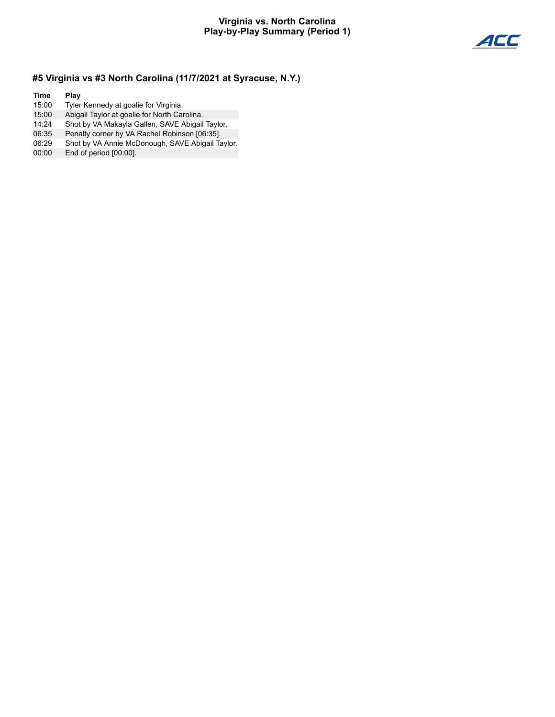### **Virginia vs. North Carolina Play-by-Play Summary (Period 1)**



## **#5 Virginia vs #3 North Carolina (11/7/2021 at Syracuse, N.Y.)**

**Time Play**

- 15:00 Tyler Kennedy at goalie for Virginia.<br>15:00 Abigail Taylor at goalie for North Car
- Abigail Taylor at goalie for North Carolina.
- 14:24 Shot by VA Makayla Gallen, SAVE Abigail Taylor.
- Penalty corner by VA Rachel Robinson [06:35].
- 06:29 Shot by VA Annie McDonough, SAVE Abigail Taylor.
- 00:00 End of period [00:00].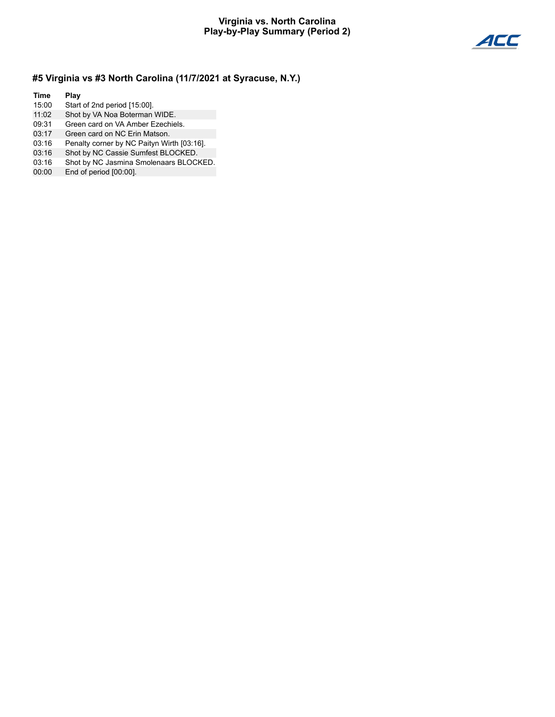## **Virginia vs. North Carolina Play-by-Play Summary (Period 2)**



## **#5 Virginia vs #3 North Carolina (11/7/2021 at Syracuse, N.Y.)**

**Time Play** 15:00 Start of 2nd period [15:00]. 11:02 Shot by VA Noa Boterman WIDE.

- 09:31 Green card on VA Amber Ezechiels.
- 03:17 Green card on NC Erin Matson.
- 03:16 Penalty corner by NC Paityn Wirth [03:16].
- 03:16 Shot by NC Cassie Sumfest BLOCKED.
- 03:16 Shot by NC Jasmina Smolenaars BLOCKED.
- 00:00 End of period [00:00].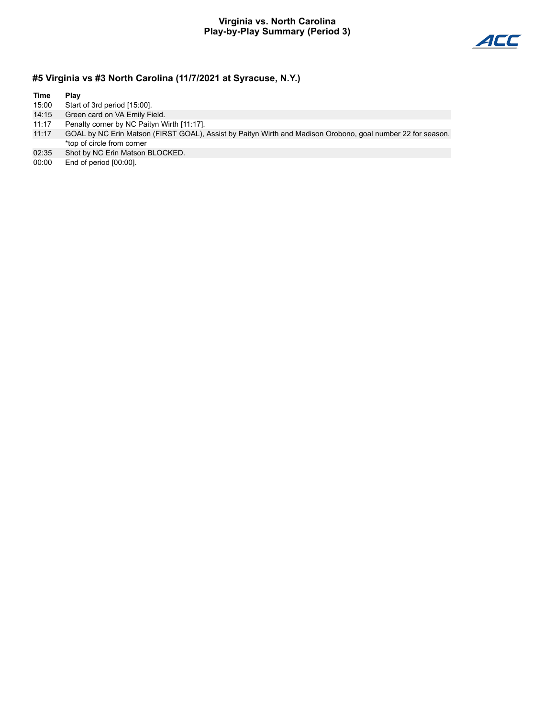### **Virginia vs. North Carolina Play-by-Play Summary (Period 3)**



# **#5 Virginia vs #3 North Carolina (11/7/2021 at Syracuse, N.Y.)**

| Time  | Play                                                                                                        |
|-------|-------------------------------------------------------------------------------------------------------------|
| 15:00 | Start of 3rd period [15:00].                                                                                |
| 14:15 | Green card on VA Emily Field.                                                                               |
| 11:17 | Penalty corner by NC Paityn Wirth [11:17].                                                                  |
| 11:17 | GOAL by NC Erin Matson (FIRST GOAL), Assist by Paityn Wirth and Madison Orobono, goal number 22 for season. |
|       | *top of circle from corner                                                                                  |
| 02:35 | Shot by NC Erin Matson BLOCKED.                                                                             |
| 00:00 | End of period [00:00].                                                                                      |